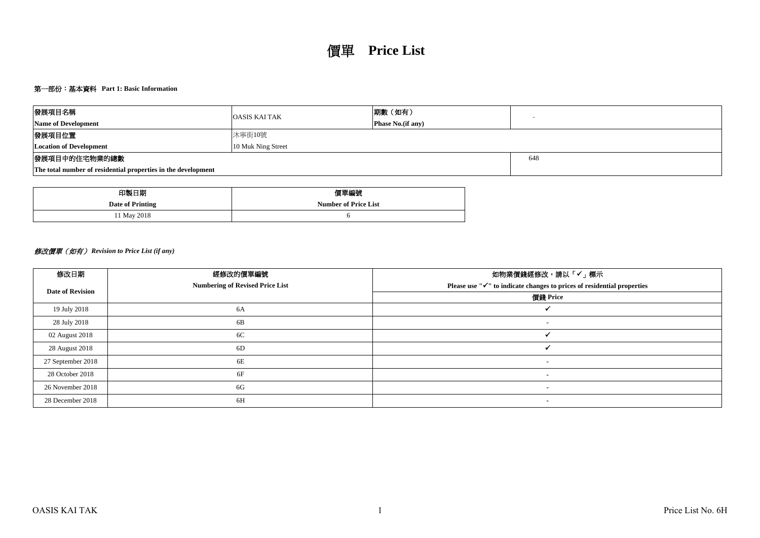## 第一部份:基本資料 **Part 1: Basic Information**

| 發展項目名稱                                                        | <b>OASIS KAI TAK</b> | 期數 (如有)            |     |  |  |  |  |  |
|---------------------------------------------------------------|----------------------|--------------------|-----|--|--|--|--|--|
| <b>Name of Development</b>                                    |                      | Phase No. (if any) |     |  |  |  |  |  |
| 發展項目位置                                                        | 沐寧街10號               |                    |     |  |  |  |  |  |
| <b>Location of Development</b>                                | 10 Muk Ning Street   |                    |     |  |  |  |  |  |
| 發展項目中的住宅物業的總數                                                 |                      |                    | 648 |  |  |  |  |  |
| The total number of residential properties in the development |                      |                    |     |  |  |  |  |  |

| 印製日期             | 價單編號                        |
|------------------|-----------------------------|
| Date of Printing | <b>Number of Price List</b> |
| 11 May 2018      |                             |

# 修改價單(如有) *Revision to Price List (if any)*

| 修改日期                    | 經修改的價單編號                               | 如物業價錢經修改,請以「✔」標示                                                                    |
|-------------------------|----------------------------------------|-------------------------------------------------------------------------------------|
| <b>Date of Revision</b> | <b>Numbering of Revised Price List</b> | Please use " $\checkmark$ " to indicate changes to prices of residential properties |
|                         |                                        | 價錢 Price                                                                            |
| 19 July 2018            | 6A                                     |                                                                                     |
| 28 July 2018            | 6B                                     | $\blacksquare$                                                                      |
| 02 August 2018          | 6C                                     |                                                                                     |
| 28 August 2018          | 6D                                     |                                                                                     |
| 27 September 2018       | 6E                                     | $\overline{\phantom{a}}$                                                            |
| 28 October 2018         | 6F                                     | $\blacksquare$                                                                      |
| 26 November 2018        | 6G                                     | $\blacksquare$                                                                      |
| 28 December 2018        | 6H                                     | $\blacksquare$                                                                      |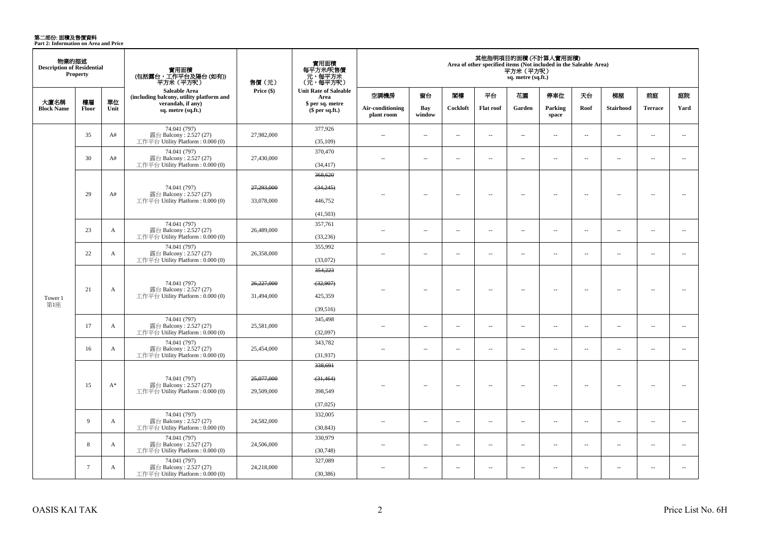**第二部份: 面積及售價資料**<br>Part 2: Information on Area and Price

| 物業的描述<br><b>Description of Residential</b> | Property        |            | 實用面積<br>(包括露台,工作平台及陽台 (如有))<br>平方米(平方呎)                                     | 售價 (元)     | 實用面積<br>每平方米/呎售價<br>元,每平方米<br>(元,每平方呎) |                                |                          |          |                          | 平方米 (平方呎)<br>sq. metre (sq.ft.) | 其他指明項目的面積 (不計算入實用面積)<br>Area of other specified items (Not included in the Saleable Area) |                          |                  |                          |                          |
|--------------------------------------------|-----------------|------------|-----------------------------------------------------------------------------|------------|----------------------------------------|--------------------------------|--------------------------|----------|--------------------------|---------------------------------|-------------------------------------------------------------------------------------------|--------------------------|------------------|--------------------------|--------------------------|
|                                            |                 |            | Saleable Area<br>(including balcony, utility platform and                   | Price (\$) | <b>Unit Rate of Saleable</b><br>Area   | 空調機房                           | 窗台                       | 閣樓       | 平台                       | 花園                              | 停車位                                                                                       | 天台                       | 梯屋               | 前庭                       | 庭院                       |
| 大廈名稱<br><b>Block Name</b>                  | 樓層<br>Floor     | 單位<br>Unit | verandah, if any)<br>sq. metre (sq.ft.)                                     |            | \$ per sq. metre<br>\$per sq.ft.)      | Air-conditioning<br>plant room | Bay<br>window            | Cockloft | <b>Flat</b> roof         | Garden                          | Parking<br>space                                                                          | Roof                     | <b>Stairhood</b> | <b>Terrace</b>           | Yard                     |
|                                            | 35              | A#         | 74.041 (797)<br>露台 Balcony: 2.527 (27)<br>工作平台 Utility Platform: 0.000 (0)  | 27,982,000 | 377,926<br>(35,109)                    | $\sim$                         | $\sim$                   | $\sim$   | $\sim$                   | $\sim$                          | $\sim$                                                                                    | $\sim$                   | $\sim$           | $\sim$                   | $\sim$                   |
|                                            | 30              | A#         | 74.041 (797)<br>露台 Balcony: 2.527 (27)<br>工作平台 Utility Platform: 0.000 (0)  | 27,430,000 | 370,470<br>(34, 417)                   | $\sim$                         | $\sim$                   | $\sim$   | $\sim$                   | $\sim$                          | $\sim$                                                                                    | $\sim$                   | $\sim$           | $\sim$                   | $\sim$                   |
|                                            |                 |            | 74.041 (797)                                                                | 27,293,000 | 368,620<br>(34,245)                    |                                |                          |          |                          |                                 |                                                                                           |                          |                  |                          |                          |
|                                            | 29              | A#         | 露台 Balcony: 2.527 (27)<br>工作平台 Utility Platform: 0.000 (0)                  | 33,078,000 | 446,752                                |                                | $\overline{\phantom{a}}$ | $\sim$   | $\overline{\phantom{a}}$ | $\sim$                          | $\overline{\phantom{a}}$                                                                  | $\overline{\phantom{a}}$ | $\sim$           | $\overline{\phantom{a}}$ | $\overline{\phantom{a}}$ |
|                                            |                 |            | 74.041 (797)                                                                |            | (41,503)<br>357,761                    |                                |                          |          |                          |                                 |                                                                                           |                          |                  |                          |                          |
|                                            | 23              | A          | 露台 Balcony: 2.527 (27)<br>工作平台 Utility Platform : 0.000 (0)                 | 26,489,000 | (33,236)                               | $\sim$                         | $\overline{\phantom{a}}$ | $\sim$   | μ.                       | $\overline{\phantom{a}}$        | $\overline{\phantom{a}}$                                                                  | $\sim$                   | $\sim$           | $\sim$                   | $\overline{\phantom{a}}$ |
|                                            | 22              | A          | 74.041 (797)<br>露台 Balcony: 2.527 (27)<br>工作平台 Utility Platform: 0.000 (0)  | 26,358,000 | 355,992<br>(33,072)                    | $\overline{a}$                 | $\overline{\phantom{a}}$ | $\sim$   | $\sim$                   | $\sim$                          | $\overline{\phantom{a}}$                                                                  | $\sim$                   | $\sim$           | $\overline{a}$           | $\sim$                   |
|                                            |                 |            | 74.041 (797)<br>露台 Balcony: 2.527 (27)                                      |            | 354,223                                |                                |                          |          |                          |                                 |                                                                                           |                          |                  |                          |                          |
|                                            |                 |            |                                                                             | 26,227,000 | (32,907)                               |                                |                          |          |                          |                                 |                                                                                           |                          |                  |                          |                          |
| Tower 1<br>第1座                             | 21              | A          | 工作平台 Utility Platform: 0.000 (0)                                            | 31,494,000 | 425,359                                |                                | $\overline{\phantom{a}}$ | $\sim$   | $\overline{\phantom{a}}$ | Ξ.                              | $\overline{\phantom{a}}$                                                                  | $\overline{\phantom{a}}$ | ÷.               | $\sim$                   | 44                       |
|                                            |                 |            | 74.041 (797)                                                                |            | (39,516)<br>345,498                    |                                |                          |          |                          |                                 |                                                                                           |                          |                  |                          |                          |
|                                            | 17              | A          | 露台 Balcony: 2.527 (27)<br>工作平台 Utility Platform: 0.000 (0)                  | 25,581,000 | (32,097)                               | $\sim$                         | $\sim$                   | $\sim$   | $\sim$                   | $\overline{\phantom{a}}$        | $\sim$                                                                                    | $\overline{\phantom{a}}$ | $\sim$           | $\overline{\phantom{a}}$ | $\overline{\phantom{a}}$ |
|                                            | 16              | A          | 74.041 (797)<br>露台 Balcony: 2.527 (27)<br>工作平台 Utility Platform: 0.000 (0)  | 25,454,000 | 343,782<br>(31, 937)                   | $\overline{a}$                 | $\sim$                   | $\sim$   | μ.                       | $\overline{\phantom{a}}$        | $\sim$                                                                                    | $\overline{\phantom{a}}$ | $\sim$           | $\overline{\phantom{a}}$ | $\overline{\phantom{a}}$ |
|                                            |                 |            |                                                                             |            | 338,691                                |                                |                          |          |                          |                                 |                                                                                           |                          |                  |                          |                          |
|                                            |                 |            | 74.041 (797)                                                                | 25,077,000 | (31, 464)                              |                                |                          |          |                          |                                 |                                                                                           |                          |                  |                          |                          |
|                                            | 15              | $A^*$      | 露台 Balcony: 2.527 (27)<br>工作平台 Utility Platform: 0.000 (0)                  | 29,509,000 | 398,549                                | $\overline{a}$                 | $\sim$                   | $\sim$   | $\sim$                   | $\sim$                          | $\sim$                                                                                    | $\overline{\phantom{a}}$ | $\sim$           | $\overline{\phantom{a}}$ | $\sim$                   |
|                                            |                 |            |                                                                             |            | (37,025)                               |                                |                          |          |                          |                                 |                                                                                           |                          |                  |                          |                          |
|                                            | 9               | A          | 74.041 (797)<br>露台 Balcony: 2.527 (27)<br>工作平台 Utility Platform : 0.000 (0) | 24,582,000 | 332,005<br>(30, 843)                   | $\sim$                         | $\sim$                   | $\sim$   | $\sim$                   | $\sim$                          | $\sim$                                                                                    | $\overline{\phantom{a}}$ | $\sim$           | $\overline{a}$           | $\sim$                   |
|                                            |                 |            | 74.041 (797)                                                                |            | 330,979                                |                                |                          |          |                          |                                 |                                                                                           |                          |                  |                          |                          |
|                                            | 8               | A          | 露台 Balcony: 2.527 (27)<br>工作平台 Utility Platform: 0.000 (0)                  | 24,506,000 | (30,748)                               | $\sim$                         | $\sim$                   | $\sim$   | $\sim$                   | $\overline{\phantom{a}}$        | $\sim$                                                                                    | $\overline{\phantom{a}}$ | $\sim$           | $\overline{a}$           | $\overline{\phantom{a}}$ |
|                                            | $7\phantom{.0}$ | A          | 74.041 (797)<br>露台 Balcony: 2.527 (27)<br>工作平台 Utility Platform : 0.000 (0) | 24,218,000 | 327,089<br>(30, 386)                   | $\overline{a}$                 | $\sim$                   | $\sim$   | $\overline{\phantom{a}}$ | $\overline{\phantom{a}}$        | $\sim$                                                                                    | $\sim$                   | ÷.               | $\sim$                   | $\overline{\phantom{a}}$ |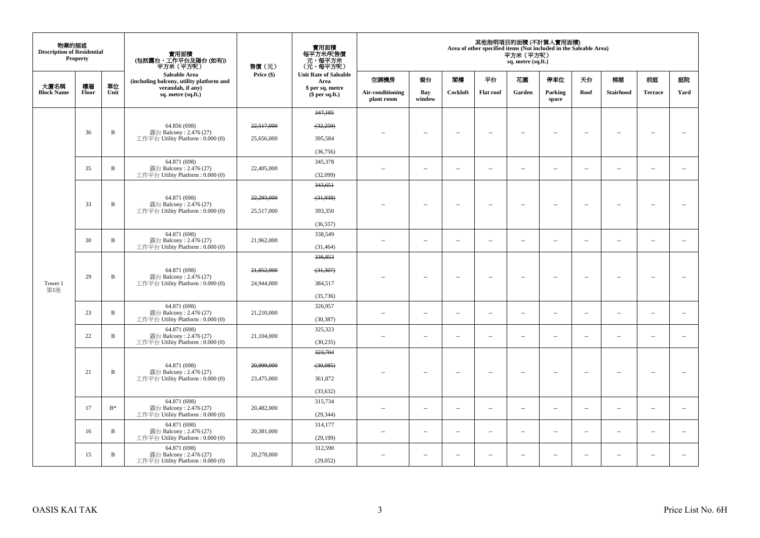| 物業的描述<br><b>Description of Residential</b> | Property    |                                        | 實用面積<br>(包括露台,工作平台及陽台 (如有))<br>平方米(平方呎)                                      | 售價(元)      | 實用面積<br>每平方米/呎售價<br>一元,每平方米<br>(元,每平方呎) |                                |                          |          |                          | 平方米 (平方呎)<br>sq. metre (sq.ft.) | 其他指明項目的面積 (不計算入實用面積)<br>Area of other specified items (Not included in the Saleable Area) |                          |                          |                          |                          |        |
|--------------------------------------------|-------------|----------------------------------------|------------------------------------------------------------------------------|------------|-----------------------------------------|--------------------------------|--------------------------|----------|--------------------------|---------------------------------|-------------------------------------------------------------------------------------------|--------------------------|--------------------------|--------------------------|--------------------------|--------|
|                                            |             |                                        | Saleable Area<br>(including balcony, utility platform and                    | Price (\$) | <b>Unit Rate of Saleable</b><br>Area    | 空調機房                           | 窗台                       | 閣樓       | 平台                       | 花園                              | 停車位                                                                                       | 天台                       | 梯屋                       | 前庭                       | 庭院                       |        |
| 大廈名稱<br><b>Block Name</b>                  | 樓層<br>Floor | 單位<br>Unit                             | verandah, if any)<br>sq. metre (sq.ft.)                                      |            | \$ per sq. metre<br>(\$ per sq.ft.)     | Air-conditioning<br>plant room | Bay<br>window            | Cockloft | <b>Flat roof</b>         | Garden                          | Parking<br>space                                                                          | Roof                     | Stairhood                | <b>Terrace</b>           | Yard                     |        |
|                                            |             |                                        |                                                                              |            | 347,185                                 |                                |                          |          |                          |                                 |                                                                                           |                          |                          |                          |                          |        |
|                                            |             |                                        | 64.856 (698)                                                                 | 22.517.000 | (32, 259)                               |                                |                          |          |                          |                                 |                                                                                           |                          |                          |                          |                          |        |
|                                            | 36          | B                                      | 露台 Balcony: 2.476 (27)<br>工作平台 Utility Platform : $0.000(0)$                 | 25,656,000 | 395,584                                 | ٠.                             | $\overline{\phantom{a}}$ | $\sim$   | $\overline{\phantom{a}}$ | $\overline{\phantom{a}}$        | $\sim$                                                                                    | $\sim$                   | $\overline{\phantom{a}}$ | $\overline{\phantom{a}}$ | $\overline{\phantom{a}}$ |        |
|                                            |             |                                        |                                                                              |            | (36, 756)                               |                                |                          |          |                          |                                 |                                                                                           |                          |                          |                          |                          |        |
|                                            |             | $\mathbf B$                            | 64.871 (698)<br>露台 Balcony: 2.476 (27)                                       | 22,405,000 | 345,378                                 |                                |                          |          |                          |                                 |                                                                                           |                          |                          |                          |                          |        |
|                                            | 35          |                                        | 工作平台 Utility Platform: 0.000 (0)                                             |            | (32,099)                                | $\sim$ $-$                     | $\ldots$                 | $\sim$   | $\ldots$                 | $\ldots$                        | $\sim$                                                                                    | $\overline{\phantom{a}}$ | $\overline{\phantom{a}}$ | $\overline{\phantom{a}}$ | $\overline{\phantom{a}}$ |        |
|                                            |             |                                        |                                                                              |            | 343,651                                 |                                |                          |          |                          |                                 |                                                                                           |                          |                          |                          |                          |        |
|                                            | 33          | B                                      | 64.871 (698)<br>露台 Balcony: 2.476 (27)                                       | 22,293,000 | (31,938)                                |                                | $\overline{\phantom{a}}$ | $\sim$   | $\overline{\phantom{a}}$ | $\overline{\phantom{a}}$        | $\sim$                                                                                    | $\overline{\phantom{a}}$ | $\overline{\phantom{a}}$ |                          | ÷.                       |        |
|                                            |             |                                        | 工作平台 Utility Platform : $0.000(0)$                                           | 25,517,000 | 393,350                                 | $-$                            |                          |          |                          |                                 |                                                                                           |                          |                          | $\sim$                   |                          |        |
|                                            |             |                                        |                                                                              |            | (36, 557)                               |                                |                          |          |                          |                                 |                                                                                           |                          |                          |                          |                          |        |
|                                            | 30          | $\mathbf B$                            | 64.871 (698)<br>露台 Balcony: 2.476 (27)<br>工作平台 Utility Platform : $0.000(0)$ | 21,962,000 | 338,549                                 | $\sim$                         | $\overline{\phantom{a}}$ | $\sim$   | $\overline{\phantom{a}}$ | $\overline{\phantom{a}}$        | $\sim$                                                                                    | $\overline{\phantom{a}}$ | $\sim$                   | $\overline{\phantom{a}}$ | $\overline{\phantom{a}}$ |        |
|                                            |             |                                        |                                                                              |            | (31, 464)                               |                                |                          |          |                          |                                 |                                                                                           |                          |                          |                          |                          |        |
|                                            |             |                                        | 64.871 (698)<br>露台 Balcony: 2.476 (27)<br>工作平台 Utility Platform : $0.000(0)$ |            | 336,853                                 |                                |                          |          |                          |                                 |                                                                                           |                          |                          |                          |                          |        |
|                                            | 29          |                                        |                                                                              | 21,852,000 | (31, 307)                               |                                | $\overline{a}$           |          | $\sim$                   | $\sim$                          | Ξ.                                                                                        | $\sim$                   | $\sim$                   | $\overline{\phantom{a}}$ |                          | $\sim$ |
| Tower 1<br>第1座                             |             |                                        |                                                                              | 24,944,000 | 384,517                                 |                                |                          |          |                          |                                 |                                                                                           |                          |                          |                          |                          |        |
|                                            |             |                                        |                                                                              |            | (35, 736)                               |                                |                          |          |                          |                                 |                                                                                           |                          |                          |                          |                          |        |
|                                            | 23          | $\, {\bf B}$<br>$\mathbf B$            | 64.871 (698)<br>露台 Balcony: 2.476 (27)                                       | 21,210,000 | 326,957                                 | $\sim$                         | $\overline{\phantom{a}}$ | $\sim$   | $\overline{\phantom{a}}$ | $\overline{\phantom{a}}$        | $\sim$                                                                                    | $\hspace{0.05cm} -$      | $\overline{\phantom{a}}$ | $\overline{\phantom{a}}$ | $\sim$                   |        |
|                                            |             |                                        | 工作平台 Utility Platform: 0.000 (0)                                             |            | (30, 387)                               |                                |                          |          |                          |                                 |                                                                                           |                          |                          |                          |                          |        |
|                                            | 22          | $\mathbf B$                            | 64.871 (698)<br>露台 Balcony: 2.476 (27)                                       | 21,104,000 | 325,323                                 | $\sim$                         | $\sim$                   | $\sim$   | $\sim$                   | $\sim$                          | $\sim$                                                                                    | $\overline{\phantom{a}}$ | $\overline{a}$           | $\sim$                   | $\sim$                   |        |
|                                            |             |                                        | 工作平台 Utility Platform: 0.000 (0)                                             |            | (30, 235)                               |                                |                          |          |                          |                                 |                                                                                           |                          |                          |                          |                          |        |
|                                            |             |                                        |                                                                              |            | 323,704                                 |                                |                          |          |                          |                                 |                                                                                           |                          |                          |                          |                          |        |
|                                            | 21          | $\mathbf B$                            | 64.871 (698)<br>露台 Balcony: 2.476 (27)                                       | 20,999,000 | (30,085)                                | $-$                            | $\overline{\phantom{a}}$ | $\sim$   | $\overline{\phantom{a}}$ | $\sim$                          | $\sim$                                                                                    | $\overline{\phantom{a}}$ | $\sim$                   | $\overline{\phantom{a}}$ | $\sim$                   |        |
|                                            |             |                                        | 工作平台 Utility Platform : $0.000(0)$                                           | 23,475,000 | 361,872                                 |                                |                          |          |                          |                                 |                                                                                           |                          |                          |                          |                          |        |
| $B^*$<br>17<br>B<br>16<br>15<br>B          |             |                                        |                                                                              |            | (33, 632)                               |                                |                          |          |                          |                                 |                                                                                           |                          |                          |                          |                          |        |
|                                            |             |                                        | 64.871 (698)<br>露台 Balcony: 2.476 (27)                                       | 20,482,000 | 315,734                                 | $\sim$                         | $\sim$                   | $\sim$   | $\sim$                   | $\overline{\phantom{a}}$        | $\sim$                                                                                    | $\overline{\phantom{a}}$ | $\overline{\phantom{a}}$ | $\overline{\phantom{a}}$ | $\overline{\phantom{a}}$ |        |
|                                            |             |                                        | 工作平台 Utility Platform : $0.000(0)$                                           |            | (29, 344)                               |                                |                          |          |                          |                                 |                                                                                           |                          |                          |                          |                          |        |
|                                            |             |                                        | 64.871 (698)<br>露台 Balcony: 2.476 (27)                                       | 20,381,000 | 314,177                                 | $\sim$                         | $\overline{\phantom{a}}$ | $\sim$   | $\overline{\phantom{a}}$ | $\sim$                          | $\overline{\phantom{a}}$                                                                  | $\overline{\phantom{a}}$ | $\overline{\phantom{a}}$ | $\sim$                   | $\sim$                   |        |
|                                            |             |                                        | 工作平台 Utility Platform: 0.000 (0)                                             |            | (29, 199)                               |                                |                          |          |                          |                                 |                                                                                           |                          |                          |                          |                          |        |
|                                            |             | 64.871 (698)<br>露台 Balcony: 2.476 (27) | 20,278,000                                                                   | 312,590    | $\sim$                                  | $\sim$                         | $\sim$                   | $\sim$   | μ.                       | $\sim$                          | $\overline{\phantom{a}}$                                                                  | $\overline{\phantom{a}}$ | $\sim$                   | $\overline{\phantom{a}}$ |                          |        |
|                                            |             |                                        | 工作平台 Utility Platform : 0.000 (0)                                            |            | (29,052)                                |                                |                          |          |                          |                                 |                                                                                           |                          |                          |                          |                          |        |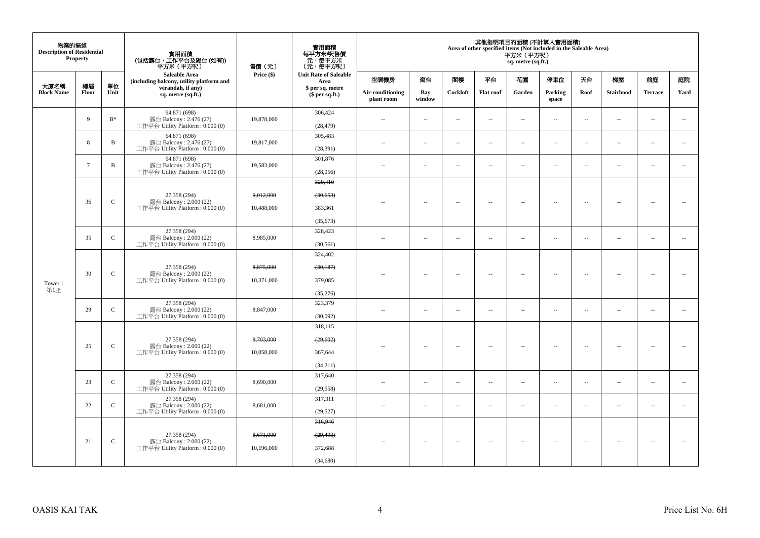| 物業的描述<br><b>Description of Residential</b> | <b>Property</b> |                | 實用面積<br>(包括露台,工作平台及陽台(如有))<br>平方米 (平方呎)                                      | 售價 (元)                  | 實用面積<br>每平方米/呎售價<br>- 元, 每平方米<br>(元, 每平方呎)  |                                |                          |                          |                          | 平方米 (平方呎)<br>sq. metre (sq.ft.) | 其他指明項目的面積(不計算入實用面積)<br>Area of other specified items (Not included in the Saleable Area) |                          |                          |                          |                          |
|--------------------------------------------|-----------------|----------------|------------------------------------------------------------------------------|-------------------------|---------------------------------------------|--------------------------------|--------------------------|--------------------------|--------------------------|---------------------------------|------------------------------------------------------------------------------------------|--------------------------|--------------------------|--------------------------|--------------------------|
|                                            |                 |                | Saleable Area<br>(including balcony, utility platform and                    | Price (\$)              | <b>Unit Rate of Saleable</b><br>Area        | 空調機房                           | 窗台                       | 閣樓                       | 平台                       | 花園                              | 停車位                                                                                      | 天台                       | 梯屋                       | 前庭                       | 庭院                       |
| 大廈名稱<br><b>Block Name</b>                  | 樓層<br>Floor     | 單位<br>Unit     | verandah, if any)<br>sq. metre (sq.ft.)                                      |                         | \$ per sq. metre<br>\$per sq.ft.)           | Air-conditioning<br>plant room | Bay<br>window            | Cockloft                 | <b>Flat roof</b>         | Garden                          | Parking<br>space                                                                         | Roof                     | Stairhood                | <b>Terrace</b>           | Yard                     |
|                                            | 9               | $\mathbf{B}^*$ | 64.871 (698)<br>露台 Balcony: 2.476 (27)<br>工作平台 Utility Platform: 0.000 (0)   | 19,878,000              | 306,424<br>(28, 479)                        | ÷.                             | $\overline{\phantom{a}}$ | $\sim$                   | $\sim$                   | $\overline{a}$                  | $\sim$                                                                                   | $\sim$                   | $\overline{\phantom{a}}$ | $\sim$                   | $\sim$                   |
|                                            | 8               | $\, {\bf B}$   | 64.871 (698)<br>露台 Balcony: 2.476 (27)<br>工作平台 Utility Platform: 0.000 (0)   | 19,817,000              | 305,483<br>(28, 391)                        | ÷.                             | $\overline{\phantom{a}}$ | $\sim$                   | $\sim$                   | $\overline{\phantom{a}}$        | $\sim$                                                                                   | $\overline{\phantom{a}}$ | $\overline{\phantom{a}}$ | $\sim$                   | $\sim$                   |
|                                            | $7\phantom{.0}$ | $\, {\bf B}$   | 64.871 (698)<br>露台 Balcony: 2.476 (27)<br>工作平台 Utility Platform : 0.000 (0)  | 19,583,000              | 301,876<br>(28,056)                         | $\sim$                         | $\sim$                   | $\sim$                   | $\sim$                   | $\sim$                          | $\sim$                                                                                   | $\sim$                   | $\overline{\phantom{a}}$ | $\sim$                   | $\sim$                   |
| Tower 1<br>第1座                             | 36              | $\mathsf{C}$   | 27.358 (294)<br>露台 Balcony: 2.000 (22)<br>工作平台 Utility Platform: 0.000 (0)   | 9,012,000<br>10,488,000 | 329,410<br>(30, 653)<br>383,361             |                                | $\overline{\phantom{a}}$ | $\sim$                   | $\sim$                   | $\overline{\phantom{a}}$        | $\sim$                                                                                   | $\overline{\phantom{a}}$ | $\sim$                   | $\sim$                   | $\sim$                   |
|                                            | 35              | $\mathbf C$    | 27.358 (294)<br>露台 Balcony: 2.000 (22)<br>工作平台 Utility Platform : 0.000 (0)  | 8,985,000               | (35, 673)<br>328,423<br>(30, 561)           | $\sim$                         | $\overline{a}$           | $\sim$                   | $\overline{\phantom{a}}$ | $\overline{a}$                  | $\overline{\phantom{a}}$                                                                 | $\overline{\phantom{a}}$ | $\overline{\phantom{a}}$ | $\sim$                   | $\sim$                   |
|                                            | 30              | $\mathsf C$    | 27.358 (294)<br>露台 Balcony: 2.000 (22)<br>工作平台 Utility Platform : 0.000 (0)  | 8,875,000<br>10.371,000 | 324,402<br>(30, 187)<br>379,085<br>(35,276) |                                | $\overline{\phantom{a}}$ | $\sim$                   | $\sim$                   | $\overline{\phantom{a}}$        | $\sim$                                                                                   | $\overline{\phantom{a}}$ | $\overline{\phantom{a}}$ | $\bar{a}$                | $\sim$                   |
|                                            | 29              | $\mathsf{C}$   | 27.358 (294)<br>露台 Balcony: 2.000 (22)<br>工作平台 Utility Platform: 0.000 (0)   | 8,847,000               | 323,379<br>(30,092)                         | $\overline{\phantom{a}}$       | μ.                       | $\overline{\phantom{a}}$ | $\overline{\phantom{a}}$ | $\overline{\phantom{a}}$        | $\overline{\phantom{a}}$                                                                 | $\overline{\phantom{a}}$ | $\overline{\phantom{a}}$ | $\overline{\phantom{a}}$ | $\overline{\phantom{a}}$ |
|                                            | 25              | $\mathbf C$    | 27.358 (294)<br>露台 Balcony: 2.000 (22)<br>工作平台 Utility Platform : 0.000 (0)  | 8,703,000<br>10,058,000 | 318,115<br>(29, 602)<br>367,644<br>(34,211) |                                | $\overline{a}$           | $\sim$                   | $\sim$                   | $\sim$                          | $\sim$                                                                                   | $\sim$                   | $\sim$                   |                          |                          |
|                                            | 23              | $\mathcal{C}$  | 27.358 (294)<br>露台 Balcony: 2.000 (22)<br>工作平台 Utility Platform: 0.000 (0)   | 8,690,000               | 317,640<br>(29, 558)                        | $-$                            | $\sim$                   | $\sim$                   | $\sim$                   | $\sim$                          | $\sim$                                                                                   | $\overline{\phantom{a}}$ | $\sim$                   | $\sim$                   | $\overline{\phantom{a}}$ |
|                                            | 22              | $\mathbf C$    | 27.358 (294)<br>露台 Balcony: 2.000 (22)<br>工作平台 Utility Platform: 0.000 (0)   | 8,681,000               | 317,311<br>(29, 527)                        | Ξ.                             | μ.                       | $\sim$                   | $\sim$                   | $\overline{\phantom{a}}$        | $\sim$                                                                                   | $\overline{\phantom{a}}$ | $\overline{\phantom{a}}$ | $\sim$                   | ÷.                       |
|                                            | 21              | $\mathsf{C}$   | 27.358 (294)<br>露台 Balcony: 2.000 (22)<br>工作平台 Utility Platform : $0.000(0)$ | 8,671,000<br>10,196,000 | 316,946<br>(29, 493)<br>372,688<br>(34,680) |                                | $\overline{\phantom{a}}$ | $\sim$                   | $\overline{\phantom{a}}$ | $\overline{\phantom{a}}$        | $\overline{\phantom{a}}$                                                                 | $\overline{\phantom{a}}$ | $\overline{\phantom{a}}$ | $\overline{\phantom{a}}$ |                          |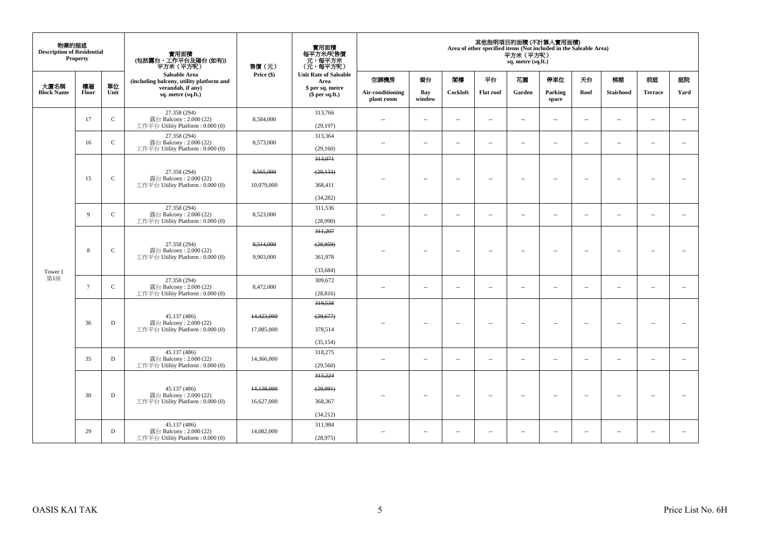| 物業的描述<br><b>Description of Residential</b> | <b>Property</b> |               | 實用面積<br>(包括露台,工作平台及陽台 (如有))<br>平方米(平方呎)                                      | 售價(元)                    | 實用面積<br>每平方米/呎售價<br>元,每平方米<br>(元,每平方呎)       |                                |                          |                          |                          | 平方米 (平方呎)<br>sq. metre (sq.ft.) | 其他指明項目的面積 (不計算入實用面積)<br>Area of other specified items (Not included in the Saleable Area) |                          |                          |                          |                          |
|--------------------------------------------|-----------------|---------------|------------------------------------------------------------------------------|--------------------------|----------------------------------------------|--------------------------------|--------------------------|--------------------------|--------------------------|---------------------------------|-------------------------------------------------------------------------------------------|--------------------------|--------------------------|--------------------------|--------------------------|
|                                            |                 |               | <b>Saleable Area</b><br>(including balcony, utility platform and             | Price (\$)               | <b>Unit Rate of Saleable</b><br>Area         | 空調機房                           | 窗台                       | 関樓                       | 平台                       | 花園                              | 停車位                                                                                       | 天台                       | 梯屋                       | 前庭                       | 庭院                       |
| 大廈名稱<br><b>Block Name</b>                  | 樓層<br>Floor     | 單位<br>Unit    | verandah, if any)<br>sq. metre (sq.ft.)                                      |                          | \$ per sq. metre<br>\$per sq.ft.)            | Air-conditioning<br>plant room | Bay<br>window            | Cockloft                 | <b>Flat roof</b>         | Garden                          | Parking<br>space                                                                          | Roof                     | Stairhood                | <b>Terrace</b>           | Yard                     |
|                                            | 17              | $\mathsf C$   | 27.358 (294)<br>露台 Balcony: 2.000 (22)<br>工作平台 Utility Platform: 0.000 (0)   | 8,584,000                | 313,766<br>(29, 197)                         | $\overline{\phantom{a}}$       | $\ldots$                 | $\sim$                   | $\ldots$                 | $\ldots$                        | $\sim$                                                                                    | $\ddotsc$                | $\overline{\phantom{a}}$ | $\sim$                   | $\overline{\phantom{a}}$ |
|                                            | 16              | $\mathbf C$   | 27.358 (294)<br>露台 Balcony: 2.000 (22)<br>工作平台 Utility Platform: 0.000 (0)   | 8,573,000                | 313,364<br>(29,160)                          | $\sim$                         | $\sim$                   | $\sim$                   | $\sim$                   | $\overline{\phantom{a}}$        | $\sim$                                                                                    | $\overline{\phantom{a}}$ | $\overline{\phantom{a}}$ | $\sim$                   | $\overline{\phantom{a}}$ |
| Tower 1                                    | 15              | $\mathbf C$   | 27.358 (294)<br>露台 Balcony: 2.000 (22)<br>工作平台 Utility Platform: 0.000 (0)   | 8,565,000<br>10,079,000  | 313,071<br>(29, 133)<br>368,411<br>(34, 282) | $\overline{a}$                 | $\overline{\phantom{a}}$ | $\sim$                   | $\overline{\phantom{a}}$ | $\overline{\phantom{a}}$        | $\sim$                                                                                    | $\overline{\phantom{a}}$ | $\sim$                   | $\overline{\phantom{a}}$ | $\overline{\phantom{a}}$ |
|                                            | 9               | $\mathcal{C}$ | 27.358 (294)<br>露台 Balcony: 2.000 (22)<br>工作平台 Utility Platform : 0.000 (0)  | 8,523,000                | 311,536<br>(28,990)                          | ٠.                             | μ.                       | $\overline{\phantom{a}}$ | $\overline{\phantom{a}}$ | $\overline{\phantom{a}}$        | $\overline{\phantom{a}}$                                                                  | $\overline{\phantom{a}}$ | $\overline{\phantom{a}}$ | $\overline{\phantom{a}}$ | $\overline{\phantom{a}}$ |
|                                            | 8               | $\mathbf C$   | 27.358 (294)<br>露台 Balcony: 2.000 (22)<br>工作平台 Utility Platform : 0.000 (0)  | 8,514,000<br>9,903,000   | 311.207<br>(28, 959)<br>361.978<br>(33, 684) | $\overline{\phantom{a}}$       | $\sim$                   | $\overline{\phantom{a}}$ | $\sim$                   | $\sim$                          | $\sim$                                                                                    | $\sim$                   | $\overline{\phantom{a}}$ | $\overline{\phantom{a}}$ | $\sim$                   |
| 第1座                                        | $\overline{7}$  | $\mathsf{C}$  | 27.358 (294)<br>露台 Balcony: 2.000 (22)<br>工作平台 Utility Platform: 0.000 (0)   | 8,472,000                | 309,672<br>(28, 816)                         | $\sim$                         | $\overline{a}$           | $\sim$                   | $\sim$                   | $\sim$                          | $\sim$                                                                                    | $\sim$                   | $\sim$                   | $\sim$                   | $\sim$                   |
|                                            | 36              | $\mathbf D$   | 45.137 (486)<br>露台 Balcony: 2.000 (22)<br>工作平台 Utility Platform : $0.000(0)$ | 14,423,000<br>17,085,000 | 319,538<br>(29,677)<br>378,514<br>(35, 154)  |                                | $\sim$                   | $\sim$                   | $\sim$                   | $\overline{\phantom{a}}$        | $\sim$                                                                                    | $\overline{\phantom{a}}$ | $\overline{\phantom{a}}$ | $\sim$                   | $\sim$                   |
|                                            | 35              | D             | 45.137 (486)<br>露台 Balcony: 2.000 (22)<br>工作平台 Utility Platform : 0.000 (0)  | 14,366,000               | 318,275<br>(29, 560)                         | $\sim$ $\sim$                  | $\sim$                   | $\sim$                   | $\sim$                   | $\overline{a}$                  | $\sim$                                                                                    | $\overline{\phantom{a}}$ | $\sim$                   | $\sim$                   | $\overline{\phantom{a}}$ |
|                                            | 30              | $\mathbf D$   | 45.137 (486)<br>露台 Balcony: 2.000 (22)<br>工作平台 Utility Platform : $0.000(0)$ | 14,138,000<br>16,627,000 | 313,224<br>(29,091)<br>368,367<br>(34,212)   |                                | $\overline{\phantom{a}}$ | $\sim$                   | $\overline{\phantom{a}}$ | $\overline{\phantom{a}}$        | $\sim$                                                                                    | $\sim$                   | $\overline{\phantom{a}}$ | $\sim$                   | $\sim$                   |
|                                            | 29              | D             | 45.137 (486)<br>露台 Balcony: 2.000 (22)<br>工作平台 Utility Platform : 0.000 (0)  | 14.082.000               | 311,984<br>(28,975)                          | $\sim$ $\sim$                  | $\overline{\phantom{a}}$ | $\overline{\phantom{a}}$ | $\overline{\phantom{a}}$ | $\overline{\phantom{a}}$        | $\overline{\phantom{a}}$                                                                  | $\overline{\phantom{a}}$ | $\overline{\phantom{a}}$ | $\overline{\phantom{a}}$ | $\sim$                   |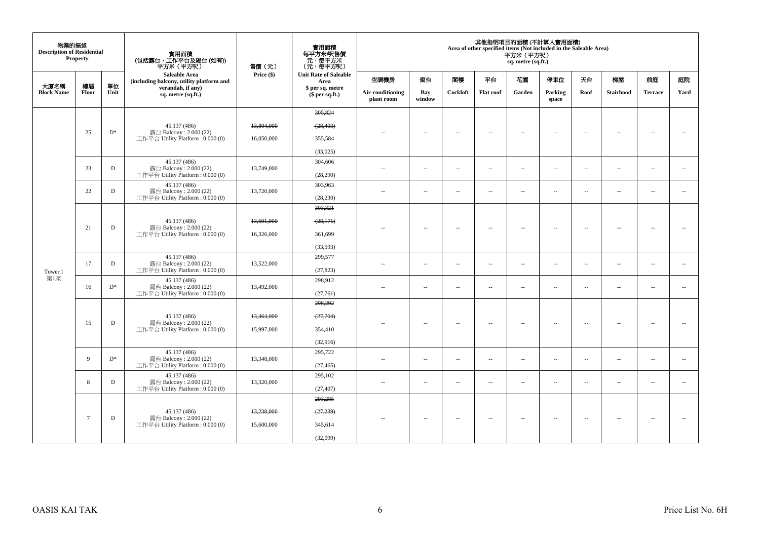| 物業的描述<br><b>Description of Residential</b> | Property    |            | 實用面積<br>(包括露台,工作平台及陽台 (如有))<br>平方米(平方呎)                                      | 售價(元)      | 實用面積<br>每平方米/呎售價<br>、元, 每平方米<br>(元, 每平方呎) |                                |                          |          |                          | 平方米 (平方呎)<br>sq. metre (sq.ft.) | 其他指明項目的面積 (不計算入實用面積)<br>Area of other specified items (Not included in the Saleable Area) |                          |                          |                          |                          |
|--------------------------------------------|-------------|------------|------------------------------------------------------------------------------|------------|-------------------------------------------|--------------------------------|--------------------------|----------|--------------------------|---------------------------------|-------------------------------------------------------------------------------------------|--------------------------|--------------------------|--------------------------|--------------------------|
|                                            |             |            | <b>Saleable Area</b><br>(including balcony, utility platform and             | Price (\$) | <b>Unit Rate of Saleable</b><br>Area      | 空調機房                           | 窗台                       | 閣樓       | 平台                       | 花園                              | 停車位                                                                                       | 天台                       | 梯屋                       | 前庭                       | 庭院                       |
| 大廈名稱<br><b>Block Name</b>                  | 樓層<br>Floor | 單位<br>Unit | verandah, if any)<br>sq. metre (sq.ft.)                                      |            | \$ per sq. metre<br>\$per sq.ft.)         | Air-conditioning<br>plant room | Bay<br>window            | Cockloft | <b>Flat roof</b>         | Garden                          | Parking<br>space                                                                          | Roof                     | Stairhood                | <b>Terrace</b>           | Yard                     |
|                                            |             |            |                                                                              |            | 305.824                                   |                                |                          |          |                          |                                 |                                                                                           |                          |                          |                          |                          |
|                                            | 25          | $D^*$      | 45.137 (486)<br>露台 Balcony: 2.000 (22)                                       | 13,804,000 | (28, 403)                                 | ٠.                             | $\overline{\phantom{a}}$ | $\sim$   | $\sim$                   | $\sim$                          | $\sim$                                                                                    | $\overline{\phantom{a}}$ | $\sim$                   | $\sim$                   | $\sim$                   |
|                                            |             |            | 工作平台 Utility Platform : $0.000(0)$                                           | 16,050,000 | 355,584                                   |                                |                          |          |                          |                                 |                                                                                           |                          |                          |                          |                          |
|                                            |             |            |                                                                              |            | (33,025)                                  |                                |                          |          |                          |                                 |                                                                                           |                          |                          |                          |                          |
|                                            | 23          | D          | 45,137 (486)<br>露台 Balcony: 2.000 (22)                                       | 13,749,000 | 304,606                                   | $\overline{\phantom{a}}$       | $\sim$                   | $\sim$   | $\overline{\phantom{a}}$ | μ.                              | $\overline{\phantom{a}}$                                                                  | $\overline{\phantom{a}}$ | $\overline{\phantom{a}}$ | $\overline{\phantom{a}}$ | $\overline{\phantom{a}}$ |
|                                            |             |            | 工作平台 Utility Platform : $0.000(0)$                                           |            | (28, 290)                                 |                                |                          |          |                          |                                 |                                                                                           |                          |                          |                          |                          |
|                                            | 22          | D          | 45.137 (486)<br>露台 Balcony: 2.000 (22)                                       | 13,720,000 | 303,963                                   | $\sim$ $-$                     | $\sim$                   | $\sim$   | $\overline{\phantom{a}}$ | μ.                              | $\overline{\phantom{a}}$                                                                  | $\overline{\phantom{a}}$ | $\overline{\phantom{a}}$ | $\overline{\phantom{a}}$ | $\overline{\phantom{a}}$ |
|                                            |             |            | 工作平台 Utility Platform : $0.000(0)$                                           |            | (28, 230)                                 |                                |                          |          |                          |                                 |                                                                                           |                          |                          |                          |                          |
|                                            |             |            |                                                                              |            | 303,321                                   |                                |                          |          |                          |                                 |                                                                                           |                          |                          |                          |                          |
|                                            | 21          | D          | 45.137 (486)<br>露台 Balcony: 2.000 (22)                                       | 13,691,000 | (28, 171)                                 |                                | $\overline{\phantom{a}}$ | $\sim$   | $\sim$                   | $\sim$                          | $\sim$                                                                                    | $\overline{\phantom{a}}$ | $\overline{\phantom{a}}$ | $\sim$                   | $\sim$                   |
|                                            |             |            | 工作平台 Utility Platform: 0.000 (0)                                             | 16,326,000 | 361,699                                   |                                |                          |          |                          |                                 |                                                                                           |                          |                          |                          |                          |
|                                            |             |            |                                                                              |            | (33, 593)                                 |                                |                          |          |                          |                                 |                                                                                           |                          |                          |                          |                          |
|                                            |             |            | 45.137 (486)<br>露台 Balcony: 2.000 (22)<br>工作平台 Utility Platform : $0.000(0)$ |            | 299,577                                   |                                |                          |          |                          |                                 |                                                                                           |                          |                          |                          |                          |
| Tower 1                                    | 17          | D          |                                                                              | 13,522,000 | (27, 823)                                 | $\sim$                         | $\sim$                   | $\sim$   | $\sim$                   | $\sim$                          | $\sim$                                                                                    | $\overline{\phantom{a}}$ | $\sim$                   | $\sim$                   | $\sim$                   |
| 第1座                                        | 16          | $D^*$      | 45.137 (486)<br>露台 Balcony: 2.000 (22)                                       | 13,492,000 | 298,912                                   | $\sim$ $\sim$                  | $\sim$                   | $\sim$   | $\sim$                   | $\sim$                          | $\sim$                                                                                    | $\overline{\phantom{a}}$ | $\sim$                   | $\sim$                   | $\overline{\phantom{a}}$ |
|                                            |             |            | 工作平台 Utility Platform: 0.000 (0)                                             |            | (27,761)                                  |                                |                          |          |                          |                                 |                                                                                           |                          |                          |                          |                          |
|                                            |             |            |                                                                              |            | 298,292                                   |                                |                          |          |                          |                                 |                                                                                           |                          |                          |                          |                          |
|                                            |             |            | 45.137 (486)                                                                 | 13,464,000 | (27,704)                                  |                                |                          |          |                          |                                 |                                                                                           |                          |                          |                          |                          |
|                                            | 15          | D          | 露台 Balcony: 2.000 (22)<br>工作平台 Utility Platform : $0.000(0)$                 | 15,997,000 | 354,410                                   |                                | $\overline{a}$           | $\sim$   | $\sim$                   | $\sim$                          | $\sim$                                                                                    | $\sim$                   | $\sim$                   | $\sim$                   | $\sim$                   |
|                                            |             |            |                                                                              |            | (32,916)                                  |                                |                          |          |                          |                                 |                                                                                           |                          |                          |                          |                          |
|                                            |             |            | 45.137 (486)                                                                 |            | 295,722                                   |                                |                          |          |                          |                                 |                                                                                           |                          |                          |                          |                          |
|                                            | 9           | $D^*$      | 露台 Balcony: 2.000 (22)<br>工作平台 Utility Platform: 0.000 (0)                   | 13,348,000 | (27, 465)                                 | $\sim$                         | $\overline{\phantom{a}}$ | $\sim$   | $\overline{\phantom{a}}$ | $\overline{\phantom{a}}$        | $\overline{\phantom{a}}$                                                                  | $\overline{\phantom{a}}$ | $\overline{\phantom{a}}$ | $\overline{\phantom{a}}$ | $\overline{\phantom{a}}$ |
|                                            | 8           | D          | 45.137 (486)<br>露台 Balcony: 2.000 (22)                                       | 13,320,000 | 295.102                                   |                                |                          |          |                          |                                 |                                                                                           |                          |                          |                          |                          |
|                                            |             |            | 工作平台 Utility Platform : $0.000(0)$                                           |            | (27, 407)                                 | $\sim$                         | $\overline{\phantom{a}}$ | $\sim$   | $\overline{\phantom{a}}$ | $\overline{\phantom{a}}$        | $\overline{\phantom{a}}$                                                                  | $\overline{\phantom{a}}$ | $\sim$                   | $\overline{\phantom{a}}$ | $\overline{\phantom{a}}$ |
|                                            |             |            |                                                                              |            | 293,285                                   |                                |                          |          |                          |                                 |                                                                                           |                          |                          |                          |                          |
|                                            |             |            | 45.137 (486)                                                                 | 13,238,000 | $- (27, 239)$                             |                                |                          |          |                          |                                 |                                                                                           |                          |                          |                          |                          |
| $7\phantom{.0}$                            |             | D          | 露台 Balcony: 2.000 (22)<br>工作平台 Utility Platform: 0.000 (0)                   | 15,600,000 | 345,614                                   | $-$                            | $\overline{\phantom{a}}$ | $\sim$   | $\overline{\phantom{a}}$ | $\sim$                          | $\sim$                                                                                    | $\sim$                   | $\overline{\phantom{a}}$ | $\overline{\phantom{a}}$ |                          |
|                                            |             |            |                                                                              |            | (32,099)                                  |                                |                          |          |                          |                                 |                                                                                           |                          |                          |                          |                          |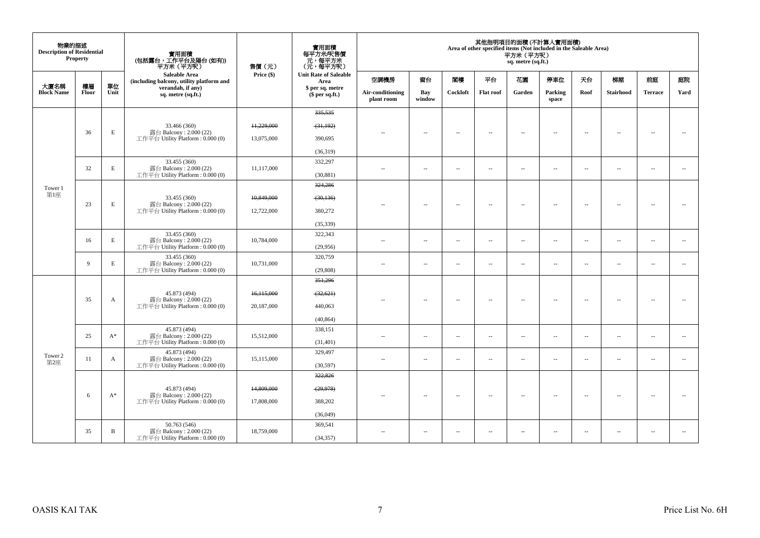| 物業的描述<br><b>Description of Residential</b> | <b>Property</b> |            | 實用面積<br>(包括露台,工作平台及陽台 (如有))<br>平方米(平方呎)                          | 售價 (元)       | 實用面積<br>每平方米/呎售價<br>元,每平方米<br>(元,每平方呎) |                                |                          |                          |                          | 平方米 (平方呎)<br>sq. metre (sq.ft.) | 其他指明項目的面積 (不計算入實用面積)<br>Area of other specified items (Not included in the Saleable Area) |                          |                          |                          |                          |
|--------------------------------------------|-----------------|------------|------------------------------------------------------------------|--------------|----------------------------------------|--------------------------------|--------------------------|--------------------------|--------------------------|---------------------------------|-------------------------------------------------------------------------------------------|--------------------------|--------------------------|--------------------------|--------------------------|
|                                            |                 |            | <b>Saleable Area</b><br>(including balcony, utility platform and | Price $(\$)$ | <b>Unit Rate of Saleable</b><br>Area   | 空調機房                           | 窗台                       | 閣樓                       | 平台                       | 花園                              | 停車位                                                                                       | 天台                       | 梯屋                       | 前庭                       | 庭院                       |
| 大廈名稱<br><b>Block Name</b>                  | 樓層<br>Floor     | 單位<br>Unit | verandah, if any)<br>sq. metre (sq.ft.)                          |              | \$ per sq. metre<br>$$$ per sq.ft.)    | Air-conditioning<br>plant room | Bay<br>window            | Cockloft                 | <b>Flat roof</b>         | Garden                          | Parking<br>space                                                                          | Roof                     | Stairhood                | <b>Terrace</b>           | Yard                     |
|                                            |                 |            |                                                                  |              | 335, 535                               |                                |                          |                          |                          |                                 |                                                                                           |                          |                          |                          |                          |
|                                            |                 |            | 33.466 (360)                                                     | 11,229,000   | (31, 192)                              |                                |                          |                          |                          |                                 |                                                                                           |                          |                          |                          |                          |
|                                            | 36              | E          | 露台 Balcony: 2.000 (22)<br>工作平台 Utility Platform: 0.000 (0)       | 13,075,000   | 390,695                                | $\sim$                         | $\overline{\phantom{a}}$ | $\overline{\phantom{a}}$ | $\sim$                   | $\overline{\phantom{a}}$        | $\overline{\phantom{a}}$                                                                  | $\overline{\phantom{a}}$ | $\overline{\phantom{a}}$ | $\overline{\phantom{a}}$ | $\overline{\phantom{a}}$ |
|                                            |                 |            |                                                                  |              | (36,319)                               |                                |                          |                          |                          |                                 |                                                                                           |                          |                          |                          |                          |
|                                            |                 |            | 33.455 (360)                                                     |              | 332,297                                |                                |                          |                          |                          |                                 |                                                                                           |                          |                          |                          |                          |
|                                            | 32              | E          | 露台 Balcony: 2.000 (22)<br>工作平台 Utility Platform: 0.000 (0)       | 11.117.000   | (30, 881)                              | $\sim$                         | $\overline{\phantom{a}}$ | $\overline{a}$           | $\sim$                   | $\sim$                          | $\sim$                                                                                    | $\overline{\phantom{a}}$ | $\overline{\phantom{a}}$ | $\overline{\phantom{a}}$ | $\sim$                   |
| Tower 1                                    |                 |            |                                                                  |              | 324,286                                |                                |                          |                          |                          |                                 |                                                                                           |                          |                          |                          |                          |
| 第1座                                        |                 |            | 33.455 (360)                                                     | 10,849,000   | (30, 136)                              |                                |                          |                          |                          |                                 |                                                                                           |                          |                          |                          |                          |
|                                            | 23              | E          | 露台 Balcony: 2.000 (22)<br>工作平台 Utility Platform: 0.000 (0)       | 12,722,000   | 380,272                                | $-$                            | $\sim$                   | $\sim$                   | $\sim$                   | $\overline{\phantom{a}}$        | $\sim$                                                                                    | $\overline{\phantom{a}}$ | $\sim$                   | $\sim$                   | $\sim$                   |
|                                            |                 |            |                                                                  |              | (35, 339)                              |                                |                          |                          |                          |                                 |                                                                                           |                          |                          |                          |                          |
|                                            | 16              | E          | 33.455 (360)<br>露台 Balcony: 2.000 (22)                           | 10,784,000   | 322,343                                |                                |                          |                          |                          |                                 |                                                                                           |                          |                          |                          |                          |
|                                            |                 |            | 工作平台 Utility Platform: 0.000 (0)                                 |              | (29,956)                               | $\sim$ $-$                     | $\overline{\phantom{a}}$ | $\sim$                   | $\overline{\phantom{a}}$ | $\overline{\phantom{a}}$        | $\overline{\phantom{a}}$                                                                  | $\sim$                   | $\overline{\phantom{a}}$ | $\sim$                   | $\sim$                   |
|                                            | $\overline{9}$  | E          | 33.455 (360)<br>露台 Balcony: 2.000 (22)                           | 10,731,000   | 320,759                                | $\sim$                         | $\sim$                   | $\overline{a}$           | $\sim$                   | $\overline{\phantom{a}}$        | $\sim$                                                                                    | $\overline{\phantom{a}}$ | $\sim$                   | $\sim$                   | $\sim$                   |
|                                            |                 |            | 工作平台 Utility Platform: 0.000 (0)                                 |              | (29, 808)                              |                                |                          |                          |                          |                                 |                                                                                           |                          |                          |                          |                          |
|                                            |                 |            |                                                                  |              | 351,296                                |                                |                          |                          |                          |                                 |                                                                                           |                          |                          |                          |                          |
|                                            | 35              |            | 45.873 (494)<br>露台 Balcony: 2.000 (22)                           | 16,115,000   | (32, 621)                              |                                |                          | $\sim$                   |                          | $\sim$                          | $\sim$                                                                                    | $\overline{\phantom{a}}$ | $\overline{\phantom{a}}$ | $\sim$                   | $\sim$                   |
|                                            |                 | A          | 工作平台 Utility Platform: 0.000 (0)                                 | 20,187,000   | 440,063                                | $\sim$ $\sim$                  | $\sim$                   |                          | $\sim$                   |                                 |                                                                                           |                          |                          |                          |                          |
|                                            |                 |            |                                                                  |              | (40, 864)                              |                                |                          |                          |                          |                                 |                                                                                           |                          |                          |                          |                          |
|                                            | 25              | $A^*$      | 45.873 (494)<br>露台 Balcony: 2.000 (22)                           | 15,512,000   | 338,151                                | $\sim$ $\sim$                  | $\sim$                   | $\sim$                   | $\sim$                   | $\overline{a}$                  | $\sim$                                                                                    | $\sim$                   | $\sim$                   | $\sim$                   | $\sim$                   |
|                                            |                 |            | 工作平台 Utility Platform: 0.000 (0)                                 |              | (31, 401)                              |                                |                          |                          |                          |                                 |                                                                                           |                          |                          |                          |                          |
| Tower 2                                    | 11              | A          | 45.873 (494)<br>露台 Balcony: 2.000 (22)                           | 15,115,000   | 329,497                                | $\sim$ $\sim$                  | $\sim$                   | $\sim$                   | $\sim$                   | $\sim$                          | $\sim$                                                                                    | $\overline{\phantom{a}}$ | $\sim$                   | $\sim$                   | $\overline{\phantom{a}}$ |
| 第2座                                        |                 |            | 工作平台 Utility Platform: 0.000 (0)                                 |              | (30,597)                               |                                |                          |                          |                          |                                 |                                                                                           |                          |                          |                          |                          |
|                                            |                 |            |                                                                  |              | 322,826                                |                                |                          |                          |                          |                                 |                                                                                           |                          |                          |                          |                          |
|                                            | 6               | $A^*$      | 45.873 (494)<br>露台 Balcony: 2.000 (22)                           | 14,809,000   | (29, 978)                              | $-$                            | $\overline{\phantom{a}}$ | $\sim$                   | $\overline{\phantom{a}}$ | $\overline{\phantom{a}}$        | $\sim$                                                                                    | $\sim$                   | $\overline{\phantom{a}}$ | $\sim$                   | $\sim$                   |
|                                            |                 |            | 工作平台 Utility Platform: 0.000 (0)                                 | 17,808,000   | 388,202                                |                                |                          |                          |                          |                                 |                                                                                           |                          |                          |                          |                          |
|                                            |                 |            |                                                                  |              | (36,049)                               |                                |                          |                          |                          |                                 |                                                                                           |                          |                          |                          |                          |
|                                            | 35              | B          | 50.763 (546)<br>露台 Balcony: 2.000 (22)                           | 18,759,000   | 369,541                                | $\sim$                         | $\overline{\phantom{a}}$ | $\overline{\phantom{a}}$ | $\sim$                   | $\overline{\phantom{a}}$        | $\sim$                                                                                    | $\overline{\phantom{a}}$ | $\overline{\phantom{a}}$ | $\overline{\phantom{a}}$ | $\sim$                   |
|                                            |                 |            | 工作平台 Utility Platform: 0.000 (0)                                 |              | (34, 357)                              |                                |                          |                          |                          |                                 |                                                                                           |                          |                          |                          |                          |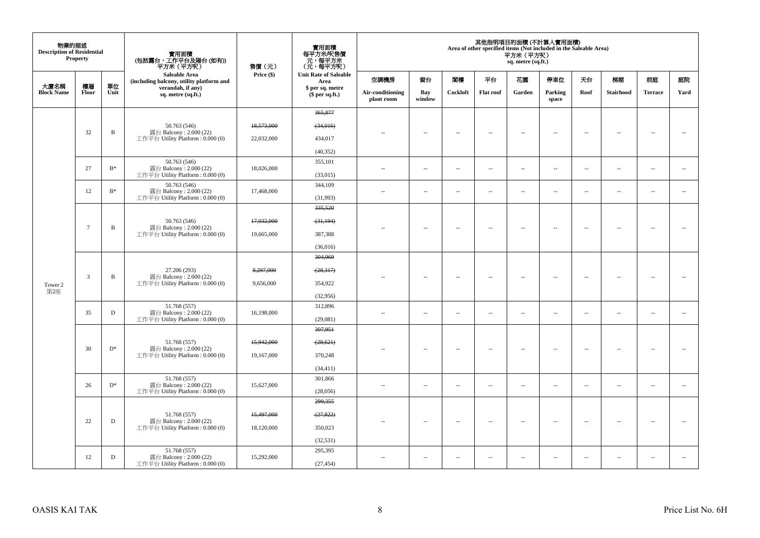| 物業的描述<br><b>Description of Residential</b> | <b>Property</b> |                | 實用面積<br>(包括露台,工作平台及陽台(如有))<br>平赤米(平方呎)                                     | 售價(元)      | 實用面積<br>每平方米/呎售價<br>元,每平方米<br>(元,每平方呎) |                                |                          |                          |                          | 平方米 (平方呎)<br>sq. metre (sq.ft.) | 其他指明項目的面積(不計算入實用面積)<br>Area of other specified items (Not included in the Saleable Area) |                          |                          |                          |                          |
|--------------------------------------------|-----------------|----------------|----------------------------------------------------------------------------|------------|----------------------------------------|--------------------------------|--------------------------|--------------------------|--------------------------|---------------------------------|------------------------------------------------------------------------------------------|--------------------------|--------------------------|--------------------------|--------------------------|
|                                            |                 |                | <b>Saleable Area</b><br>(including balcony, utility platform and           | Price (\$) | <b>Unit Rate of Saleable</b><br>Area   | 空調機房                           | 窗台                       | 閣樓                       | 平台                       | 花園                              | 停車位                                                                                      | 天台                       | 梯屋                       | 前庭                       | 庭院                       |
| 大廈名稱<br><b>Block Name</b>                  | 樓層<br>Floor     | 單位<br>Unit     | verandah, if any)<br>sq. metre (sq.ft.)                                    |            | \$ per sq. metre<br>\$per sq.ft.)      | Air-conditioning<br>plant room | Bay<br>window            | Cockloft                 | <b>Flat roof</b>         | Garden                          | Parking<br>space                                                                         | Roof                     | Stairhood                | <b>Terrace</b>           | Yard                     |
|                                            |                 |                |                                                                            |            | 365,877                                |                                |                          |                          |                          |                                 |                                                                                          |                          |                          |                          |                          |
|                                            |                 |                | 50.763 (546)                                                               | 18,573,000 | (34,016)                               |                                |                          |                          |                          |                                 |                                                                                          |                          |                          |                          |                          |
|                                            | 32              | $\mathbf B$    | 露台 Balcony: 2.000 (22)<br>工作平台 Utility Platform : $0.000(0)$               | 22,032,000 | 434,017                                |                                | $\overline{\phantom{a}}$ | $\overline{\phantom{a}}$ | $\sim$                   | μ.                              | $\sim$                                                                                   | $\overline{\phantom{a}}$ | $\sim$                   | $\sim$                   | $\sim$                   |
|                                            |                 |                |                                                                            |            | (40, 352)                              |                                |                          |                          |                          |                                 |                                                                                          |                          |                          |                          |                          |
|                                            | 27              | $B^*$          | 50.763 (546)<br>露台 Balcony: 2.000 (22)                                     | 18,026,000 | 355,101                                | $\sim$                         | $\overline{\phantom{a}}$ | $\sim$                   | $\sim$                   | $\overline{\phantom{a}}$        | $\sim$                                                                                   | $\overline{\phantom{a}}$ | $\overline{\phantom{a}}$ | $\sim$                   | $\sim$                   |
|                                            |                 |                | 工作平台 Utility Platform: 0.000 (0)                                           |            | (33,015)                               |                                |                          |                          |                          |                                 |                                                                                          |                          |                          |                          |                          |
|                                            | 12              | $\mathrm{B}^*$ | 50.763 (546)<br>露台 Balcony: 2.000 (22)                                     | 17,468,000 | 344,109                                | ÷.                             | $\overline{\phantom{a}}$ | $\sim$                   | $\sim$                   | $\overline{\phantom{a}}$        | $\sim$                                                                                   | $\overline{\phantom{a}}$ | $\overline{\phantom{a}}$ | $\sim$                   | $\sim$                   |
|                                            |                 |                | 工作平台 Utility Platform: 0.000 (0)                                           |            | (31,993)                               |                                |                          |                          |                          |                                 |                                                                                          |                          |                          |                          |                          |
|                                            |                 |                |                                                                            |            | 335,520                                |                                |                          |                          |                          |                                 |                                                                                          |                          |                          |                          |                          |
|                                            | $\tau$          | B              | 50.763 (546)<br>露台 Balcony: 2.000 (22)                                     | 17,032,000 | (31, 194)                              | $-$                            | $\sim$                   | $\sim$                   | $\sim$                   | $\overline{a}$                  | $\sim$                                                                                   | $\overline{\phantom{a}}$ | $\sim$                   | $\sim$                   | $\sim$                   |
|                                            |                 |                | 工作平台 Utility Platform: 0.000 (0)                                           | 19,665,000 | 387,388                                |                                |                          |                          |                          |                                 |                                                                                          |                          |                          |                          |                          |
|                                            |                 |                |                                                                            |            | (36,016)                               |                                |                          |                          |                          |                                 |                                                                                          |                          |                          |                          |                          |
|                                            |                 |                | 27.206 (293)<br>露台 Balcony: 2.000 (22)<br>工作平台 Utility Platform: 0.000 (0) |            | 304,969                                |                                |                          |                          |                          |                                 |                                                                                          |                          |                          |                          |                          |
|                                            | $\mathfrak{Z}$  | $\, {\bf B}$   |                                                                            | 8,297,000  | (28,317)                               |                                | μ.                       | $\sim$                   | $\sim$                   | μ.                              | $\sim$                                                                                   | $\overline{\phantom{a}}$ | 44                       |                          | ÷.                       |
| Tower 2<br>第2座                             |                 |                |                                                                            | 9,656,000  | 354,922                                |                                |                          |                          |                          |                                 |                                                                                          |                          |                          |                          |                          |
|                                            |                 |                |                                                                            |            | (32,956)                               |                                |                          |                          |                          |                                 |                                                                                          |                          |                          |                          |                          |
|                                            | 35              | $\mathbf D$    | 51.768 (557)<br>露台 Balcony: 2.000 (22)                                     | 16,198,000 | 312,896                                | ÷.                             | --                       | $\sim$                   | $\overline{\phantom{a}}$ | $\overline{\phantom{a}}$        | $\sim$                                                                                   | $\overline{\phantom{a}}$ | $\cdots$                 | $\sim$                   | $\overline{\phantom{a}}$ |
|                                            |                 |                | 工作平台 Utility Platform : 0.000 (0)                                          |            | (29,081)<br>307,951                    |                                |                          |                          |                          |                                 |                                                                                          |                          |                          |                          |                          |
|                                            |                 |                |                                                                            |            |                                        |                                |                          |                          |                          |                                 |                                                                                          |                          |                          |                          |                          |
|                                            | 30              | $\mathbf{D}^*$ | 51.768 (557)<br>露台 Balcony: 2.000 (22)                                     | 15,942,000 | (28, 621)                              |                                | $\overline{\phantom{a}}$ | $\sim$                   | $\sim$                   | $\overline{\phantom{a}}$        | $\sim$                                                                                   | $\sim$                   | $\sim$                   | $\sim$                   | $\sim$                   |
|                                            |                 |                | 工作平台 Utility Platform: 0.000 (0)                                           | 19,167,000 | 370,248                                |                                |                          |                          |                          |                                 |                                                                                          |                          |                          |                          |                          |
|                                            |                 |                |                                                                            |            | (34, 411)                              |                                |                          |                          |                          |                                 |                                                                                          |                          |                          |                          |                          |
|                                            | 26              | $D^*$          | 51.768 (557)<br>露台 Balcony: 2.000 (22)                                     | 15,627,000 | 301,866                                | $\overline{a}$                 | $\overline{\phantom{a}}$ | $\sim$                   | $\sim$                   | $\overline{\phantom{a}}$        | $\sim$                                                                                   | $\overline{\phantom{a}}$ | $\overline{\phantom{a}}$ | $\sim$                   | $\overline{\phantom{a}}$ |
|                                            |                 |                | 工作平台 Utility Platform: 0.000 (0)                                           |            | (28,056)<br>299,355                    |                                |                          |                          |                          |                                 |                                                                                          |                          |                          |                          |                          |
|                                            |                 |                |                                                                            | 15,497,000 |                                        |                                |                          |                          |                          |                                 |                                                                                          |                          |                          |                          |                          |
|                                            | 22              | $\mathbf D$    | 51.768 (557)<br>露台 Balcony: 2.000 (22)                                     |            | (27, 822)                              |                                | $\overline{\phantom{a}}$ | $\overline{\phantom{a}}$ | $\overline{\phantom{a}}$ | $\overline{\phantom{a}}$        | $\sim$                                                                                   | $\overline{\phantom{a}}$ | $\overline{\phantom{a}}$ | $\sim$                   | $\sim$                   |
|                                            |                 |                | 工作平台 Utility Platform : 0.000 (0)                                          | 18,120,000 | 350,023                                |                                |                          |                          |                          |                                 |                                                                                          |                          |                          |                          |                          |
|                                            |                 |                | 51.768 (557)                                                               |            | (32, 531)<br>295,395                   |                                |                          |                          |                          |                                 |                                                                                          |                          |                          |                          |                          |
|                                            | 12              | D              | 露台 Balcony: 2.000 (22)<br>工作平台 Utility Platform: 0.000 (0)                 | 15,292,000 | (27, 454)                              | $\sim$                         | $\overline{\phantom{a}}$ | $\overline{\phantom{a}}$ | $\overline{\phantom{a}}$ | $\sim$                          | $\overline{\phantom{a}}$                                                                 | $\overline{\phantom{a}}$ | $\overline{\phantom{a}}$ | $\overline{\phantom{a}}$ | $\sim$                   |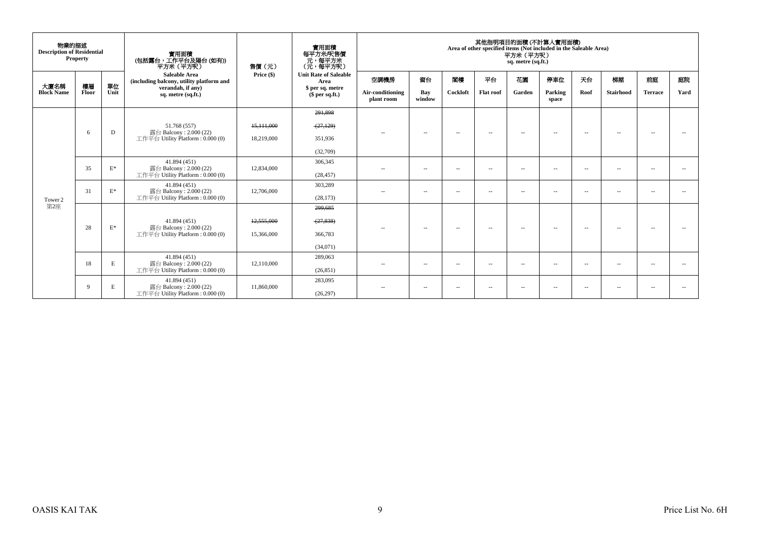| 物業的描述<br><b>Description of Residential</b> | <b>Property</b> |                                        | 實用面積<br>(包括露台, 工作平台及陽台(如有))<br>平方米 (平方呎)                         | 售價(元)                 | <b>實用面積</b><br>每平方米/呎售價<br>- 元, 每平方米<br>(元, 每平方呎) |                                |                          |                          | 其他指明項目的面積 (不計算入實用面積)<br>Area of other specified items (Not included in the Saleable Area) | 平方米 (平方呎)<br>sq. metre (sq.ft.) |                  |                          |                  |                |                          |
|--------------------------------------------|-----------------|----------------------------------------|------------------------------------------------------------------|-----------------------|---------------------------------------------------|--------------------------------|--------------------------|--------------------------|-------------------------------------------------------------------------------------------|---------------------------------|------------------|--------------------------|------------------|----------------|--------------------------|
| 大廈名稱                                       | 樓層              | 單位                                     | <b>Saleable Area</b><br>(including balcony, utility platform and | Price (\$)            | <b>Unit Rate of Saleable</b><br>Area              | 空調機房                           | 窗台                       | 閣樓                       | 平台                                                                                        | 花園                              | 停車位              | 天台                       | 梯屋               | 前庭             | 庭院                       |
| <b>Block Name</b>                          | Floor           | Unit                                   | verandah, if any)<br>sq. metre (sq.ft.)                          |                       | \$ per sq. metre<br>$$$ per sq.ft.)               | Air-conditioning<br>plant room | Bay<br>window            | Cockloft                 | <b>Flat roof</b>                                                                          | Garden                          | Parking<br>space | Roof                     | <b>Stairhood</b> | <b>Terrace</b> | Yard                     |
|                                            |                 |                                        |                                                                  |                       | 291,898                                           |                                |                          |                          |                                                                                           |                                 |                  |                          |                  |                |                          |
|                                            |                 |                                        | 51.768 (557)                                                     | 15,111,000            | (27, 129)                                         |                                |                          |                          |                                                                                           |                                 |                  |                          |                  |                |                          |
|                                            | 6               | D                                      | 露台 Balcony: 2.000 (22)<br>工作平台 Utility Platform: 0.000 (0)       | 18,219,000            | 351,936                                           | $\sim$                         | $\overline{\phantom{a}}$ | $\sim$                   | $\overline{a}$                                                                            | $\sim$                          | $\sim$           | $\overline{\phantom{a}}$ | $\sim$           |                |                          |
|                                            |                 |                                        |                                                                  | (32.709)              |                                                   |                                |                          |                          |                                                                                           |                                 |                  |                          |                  |                |                          |
| 35<br>31                                   |                 | $\mathbf{E}^*$                         | 41.894 (451)<br>露台 Balcony: 2.000 (22)                           | 12,834,000            | 306,345                                           | $\sim$                         | $\sim$                   | $-$                      | $\overline{a}$                                                                            | $\sim$                          | $\overline{a}$   | $\overline{\phantom{a}}$ | $ -$             | $\sim$         | $\sim$                   |
|                                            |                 |                                        | 工作平台 Utility Platform: 0.000 (0)                                 |                       | (28, 457)                                         |                                |                          |                          |                                                                                           |                                 |                  |                          |                  |                |                          |
|                                            | $\mathbf{E}^*$  | 41.894 (451)<br>露台 Balcony: 2.000 (22) | 12,706,000                                                       | 303,289               | $\sim$ $-$                                        | $\sim$                         | $\sim$ $-$               | $\sim$                   | $\sim$                                                                                    | $\sim$ $-$                      | $\sim$           | $ -$                     | $\sim$           |                |                          |
| Tower 2                                    |                 |                                        | 工作平台 Utility Platform: 0.000 (0)                                 |                       | (28, 173)                                         |                                |                          |                          |                                                                                           |                                 |                  |                          |                  |                |                          |
| 第2座                                        |                 |                                        |                                                                  |                       | 299,685                                           |                                |                          |                          |                                                                                           |                                 |                  |                          |                  |                |                          |
|                                            | 28              | $E^*$                                  | 41.894 (451)<br>露台 Balcony: 2.000 (22)                           | 12,555,000            | (27, 838)                                         | $\sim$                         | $\overline{\phantom{a}}$ | $\overline{\phantom{a}}$ | $\overline{\phantom{a}}$                                                                  | $\sim$                          | $\sim$           | $\sim$                   | $\sim$           | $\sim$         | $\overline{\phantom{a}}$ |
|                                            |                 |                                        | 工作平台 Utility Platform: 0.000 (0)                                 | 15,366,000            | 366,783                                           |                                |                          |                          |                                                                                           |                                 |                  |                          |                  |                |                          |
|                                            |                 |                                        |                                                                  |                       | (34,071)                                          |                                |                          |                          |                                                                                           |                                 |                  |                          |                  |                |                          |
|                                            | 18              | E                                      | 41.894 (451)<br>露台 Balcony: 2.000 (22)                           | 289,063<br>12,110,000 | $\sim$                                            | $\overline{\phantom{a}}$       | $\sim$ $-$               | $\sim$                   | $\sim$                                                                                    | $\sim$ $-$                      | $\sim$           | $ -$                     | $\sim$           | $\sim$         |                          |
|                                            |                 |                                        | 工作平台 Utility Platform: 0.000 (0)                                 |                       | (26, 851)                                         |                                |                          |                          |                                                                                           |                                 |                  |                          |                  |                |                          |
|                                            | 9               | E                                      | 41.894 (451)<br>露台 Balcony: 2.000 (22)                           | 11,860,000            | 283,095                                           | $- -$                          | $\sim$                   | $\overline{\phantom{a}}$ | $\sim$                                                                                    | $\sim$                          | $\sim$           | $\sim$                   | $ -$             | $\sim$         | $\sim$                   |
|                                            |                 |                                        | 工作平台 Utility Platform: 0.000 (0)                                 |                       | (26, 297)                                         |                                |                          |                          |                                                                                           |                                 |                  |                          |                  |                |                          |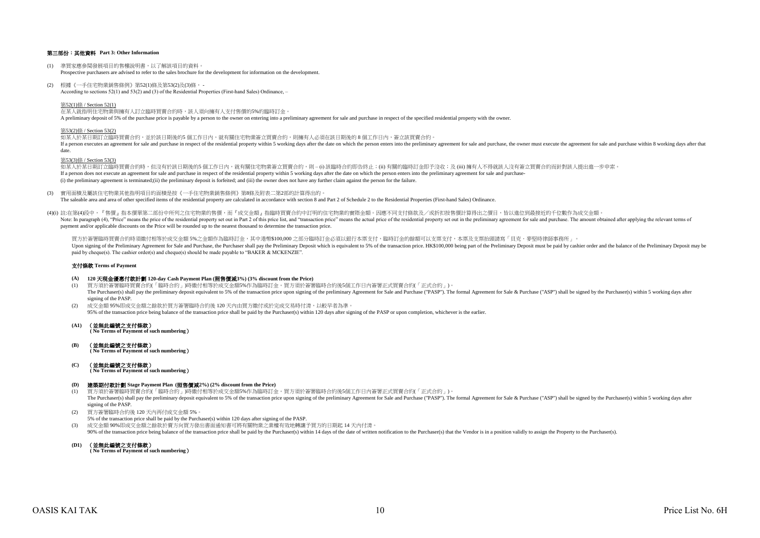## 第三部份:其他資料 **Part 3: Other Information**

- (1) 準買家應參閱發展項目的售樓說明書,以了解該項目的資料。 Prospective purchasers are advised to refer to the sales brochure for the development for information on the development.
- (2) 根據《一手住宅物業銷售條例》第52(1)條及第53(2)及(3)條, According to sections 52(1) and 53(2) and (3) of the Residential Properties (First-hand Sales) Ordinance, –

第52(1)條 / Section 52(1)

在某人就指明住宅物業與擁有人訂立臨時買賣合約時,該人須向擁有人支付售價的5%的臨時訂金。 A preliminary deposit of 5% of the purchase price is payable by a person to the owner on entering into a preliminary agreement for sale and purchase in respect of the specified residential property with the owner.

#### 第53(2)條 / Section 53(2)

如某人於某日期訂立臨時買賣合約,並於該日期後的5 個工作日內,就有關住宅物業簽立買賣合約,則擁有人必須在該日期後的 8 個工作日内,簽立該買賣合約。 If a person executes an agreement for sale and purchase in respect of the residential property within 5 working days after the date on which the person enters into the preliminary agreement for sale and purchase, the owner date.

#### 第53(3)條 / Section 53(3)

如某人於某日期訂立臨時買賣合約時,但沒有於該日期後的5 個工作日內,就有關住宅物業簽立買賣合約,則 – (i) 該臨時合約即告終止;(ii) 有關的臨時訂金即予沒收;及 (iii) 擁有人不得就該人沒有簽立買賣合約而針對該人提出進一步申索。 If a person does not execute an agreement for sale and purchase in respect of the residential property within 5 working days after the date on which the person enters into the preliminary agreement for sale and purchase-(i) the preliminary agreement is terminated;(ii) the preliminary deposit is forfeited; and (iii) the owner does not have any further claim against the person for the failure.

(3) 實用面積及屬該住宅物業其他指明項目的面積是按《一手住宅物業銷售條例》第8條及附表二第2部的計算得出的。

The saleable area and area of other specified items of the residential property are calculated in accordance with section 8 and Part 2 of Schedule 2 to the Residential Properties (First-hand Sales) Ordinance.

(4)(i) 註:在第(4)段中,『售價』指本價單第二部份中所列之住宅物業的售價,而『成交金額』指臨時買賣合約中訂明的住宅物業的實際金額。因應不同支付條款及/或折扣按售價計算得出之價目,皆以進位到最接近的千位數作為成交金額。 Note In paragraph (4) "Price" means the precidential price of the residential price of the residential price is and "transaction price" means the actual price is and "transaction price" means the actual price is and "trans payment and/or applicable discounts on the Price will be rounded up to the nearest thousand to determine the transaction price.

買方於签署臨時買賣会約時須繳付相等於成交金額 5%之金額作為臨時訂金,其中港憋\$100,000 之部分臨時訂金必須以銀行木票支付,臨時訂金的餘額可以支票支付,木票及支票抬頭請寫「貝克·麥堅時律師事務所」。 Upon signing of the Preliminary Agreement for Sale and Purchase, the Purchaser shall pay the Preliminary Deposit which is equivalent to 5% of the transaction price. HK\$100,000 being part of the Prelimiary Deposit must be p paid by cheque(s). The cashier order(s) and cheque(s) should be made payable to "BAKER & MCKENZIE".

#### 支付條款 **Terms of Payment**

- **(A) 120** 天現金優惠付款計劃 **120-day Cash Payment Plan (**照售價減**3%) (3% discount from the Price)**
- (1) 買方須於簽署臨時買賣合約(「臨時合約」)時繳付相等於成交金額5%作為臨時訂金。買方須於簽署臨時合約後5個工作日內簽署正式買賣合約(「正式合約」)。 The Purchaser(s) shall pay the preliminary deposit equivalent to 5% of the transaction price upon signing of the preliminary Agreement for Sale and Purchase ("PASP"). The formal Agreement for Sale & Purchase ("ASP") shall signing of the PASP
- (2) 成交金額 95%即成交金額之餘款於買方簽署臨時合約後 120 天內由買方繳付或於完成交易時付清,以較早者為準。 95% of the transaction price being balance of the transaction price shall be paid by the Purchaser(s) within 120 days after signing of the PASP or upon completion, whichever is the earlier.
- **(A1)** (並無此編號之支付條款)  **( No Terms of Payment of such numbering**)

**(B)** (並無此編號之支付條款)  **( No Terms of Payment of such numbering**)

**(C)** (並無此編號之支付條款)

 **( No Terms of Payment of such numbering**)

#### **(D)** 建築期付款計劃 **Stage Payment Plan (**照售價減**2%) (2% discount from the Price)**

- (1) 買方須於簽署臨時買賣合約(「臨時合約」)時繳付相等於成交金額5%作為臨時訂金。買方須於簽署臨時合約後5個工作日內簽署正式買賣合約(「正式合約」)。 The Purchaser(s) shall pay the preliminary deposit equivalent to 5% of the transaction price upon signing of the preliminary Agreement for Sale and Purchase ("PASP"). The formal Agreement for Sale & Purchase ("ASP") shall signing of the PASP.
- (2) 買方簽署臨時合約後 120 天內再付成交金額 5%。
- 5% of the transaction price shall be paid by the Purchaser(s) within 120 days after signing of the PASP.
- (3) 成交金額 90%即成交金額之餘款於賣方向買方發出書面通知書可將有關物業之業權有效地轉讓予買方的日期起 14 天內付清。
- 90% of the transaction price being balance of the transaction price shall be paid by the Purchaser(s) within 14 days of the date of written notification to the Purchaser(s) that the Vendor is in a position validly to assig
- **(D1)** (並無此編號之支付條款)

 **( No Terms of Payment of such numbering**)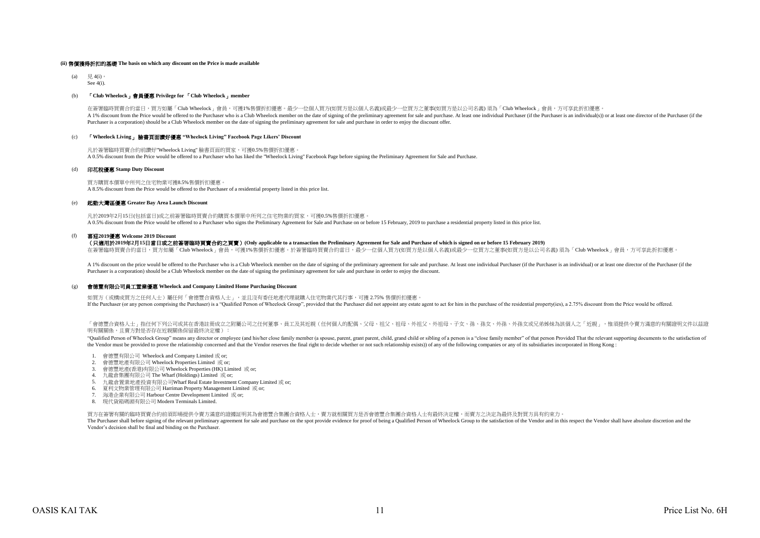#### **(ii)** 售價獲得折扣的基礎 **The basis on which any discount on the Price is made available**

(a)  $\quad \ \ \, \boxplus 4(i)$ 。 See 4(i).

### (b) 「**Club Wheelock**」會員優惠 **Privilege for** 「**Club Wheelock**」**member**

在簽署臨時買賣合約當日,買方如屬「Club Wheelock」會員,可獲1%售價折扣優惠。最少一位個人買方(如買方是以個人名義)或最少一位買方之董事(如買方是以公司名義) 須為「Club Wheelock」會員,方可享此折扣優惠 A 1% discount from the Price would be offered to the Purchaser who is a Club Wheelock member on the date of signing of the preliminary agreement for sale and purchase. At least one individual Purchaser (if the Purchaser is Purchaser is a corporation) should be a Club Wheelock member on the date of signing the preliminary agreement for sale and purchase in order to enjoy the discount offer.

## (c) 「**Wheelock Living**」 臉書頁面讚好優惠 **"Wheelock Living" Facebook Page Likers' Discount**

凡於簽署臨時買賣合約前讚好"Wheelock Living" 臉書頁面的買家,可獲0.5%售價折扣優惠。 A 0.5% discount from the Price would be offered to a Purchaser who has liked the "Wheelock Living" Facebook Page before signing the Preliminary Agreement for Sale and Purchase.

#### (d) 印花稅優惠 **Stamp Duty Discount**

買方購買本價單中所列之住宅物業可獲8.5%售價折扣優惠。 A 8.5% discount from the Price would be offered to the Purchaser of a residential property listed in this price list.

#### (e) 起動大灣區優惠 **Greater Bay Area Launch Discount**

凡於2019年2月15日(包括當日)或之前簽署臨時買賣合約購買本價單中所列之住宅物業的買家,可獲0.5%售價折扣優惠。 A 0.5% discount from the Price would be offered to a Purchaser who signs the Preliminary Agreement for Sale and Purchase on or before 15 February, 2019 to purchase a residential property listed in this price list.

#### (f) 喜迎**2019**優惠 **Welcome 2019 Discount**

(只適用於**2019**年**2**月**15**日當日或之前簽署臨時買賣合約之買賣)**(Only applicable to a transaction the Preliminary Agreement for Sale and Purchase of which is signed on or before 15 February 2019)**

在簽署臨時買賣合約當日,買方如屬「Club Wheelock」會員,可獲1%售價折扣優惠。於簽署臨時買賣合約當日,最少一位個人買方(如買方是以個人名義)或最少一位買方之董事(如買方是以公司名義) 須為「Club Wheelock」會員,方可享此折扣優惠。

A 1% discount on the price would be offered to the Purchaser who is a Club Wheelock member on the date of signing of the preliminary agreement for sale and purchase. At least one individual Purchaser (if the Purchaser is a Purchaser is a corporation) should be a Club Wheelock member on the date of signing the preliminary agreement for sale and purchase in order to enjoy the discount.

#### $(\sigma)$ 會德豐有限公司員工置業優惠 **Wheelock and Company Limited Home Purchasing Discount**

如買方 (或構成買方之任何人士)屬任何「會德豐合資格人士」, 並且沒有委任地產代理就購入住宅物業代其行事,可獲 2.75% 售價折扣優惠。 If the Purchaser (or any person comprising the Purchaser) is a "Qualified Person of Wheelock Group", provided that the Purchaser did not appoint any estate agent to act for him in the purchase of the residential property(i

「會德豐合資格人士」指任何下列公司或其在香港註冊成立之附屬公司之任何董事、員工及其近親(任何個人的配偶、父母、祖父、祖母、外祖父、外祖母、子女、孫、孫女、外孫、外孫女或兄弟姊妹為該個人之「近親」,惟須提供令賣方滿意的有關證明文件以茲證 明有關關係,日賣方對是否存在近親關係保留最終決定權):

"Qualified Person of Wheelock Group" means any director or employee (and his/her close family member (a spouse, parent, grant parent, child, grand child or sibling of a person is a "close family member" of that person Prov the Vendor must be provided to prove the relationship concerned and that the Vendor reserves the final right to decide whether or not such relationship exists)) of any of the following companies or any of its subsidiaries

- 1. 會德豐有限公司 Wheelock and Company Limited 或 or;
- 2. 會德豐地產有限公司 Wheelock Properties Limited 或 or;
- 3. 會德豐地產(香港)有限公司 Wheelock Properties (HK) Limited 或 or;
- 4. 九龍倉集團有限公司 The Wharf (Holdings) Limited 或 or;
- 5. 九龍倉置業地產投資有限公司Wharf Real Estate Investment Company Limited 或 or;
- 6. 夏利文物業管理有限公司 Harriman Property Management Limited 或 or;
- 7. 海港企業有限公司 Harbour Centre Development Limited 或 or;
- 8. 現代貨箱碼頭有限公司 Modern Terminals Limited.

買方在簽署有關的臨時買賣合約前須即場提供令賣方滿意的證據証明其為會德豐合集團合資格人士,賣方就相關買方是否會德豐合集團合資格人士有最終決定權,而賣方之決定為最終及對買方具有約束力。

The Purchaser shall before signing of the relevant preliminary agreement for sale and purchase on the spot provide evidence for proof of being a Qualified Person of Wheelock Group to the satisfaction of the Vendor and in t Vendor's decision shall be final and binding on the Purchaser.